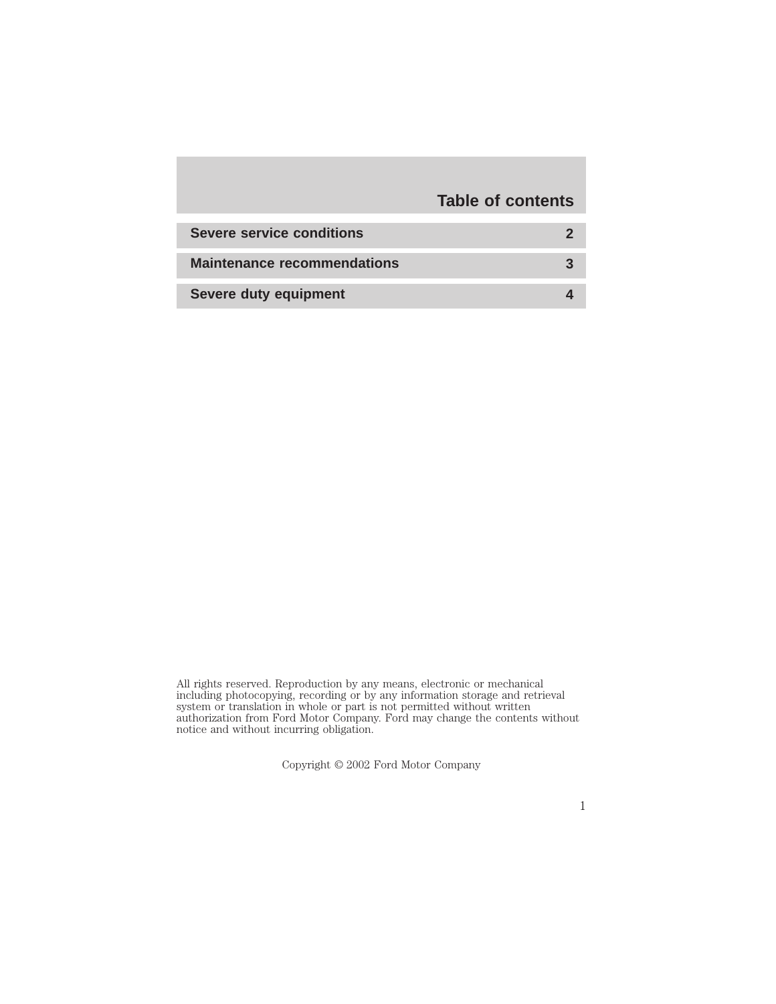# **Table of contents**

| <b>Severe service conditions</b>   |  |
|------------------------------------|--|
| <b>Maintenance recommendations</b> |  |
| Severe duty equipment              |  |

All rights reserved. Reproduction by any means, electronic or mechanical including photocopying, recording or by any information storage and retrieval system or translation in whole or part is not permitted without written authorization from Ford Motor Company. Ford may change the contents without notice and without incurring obligation.

Copyright © 2002 Ford Motor Company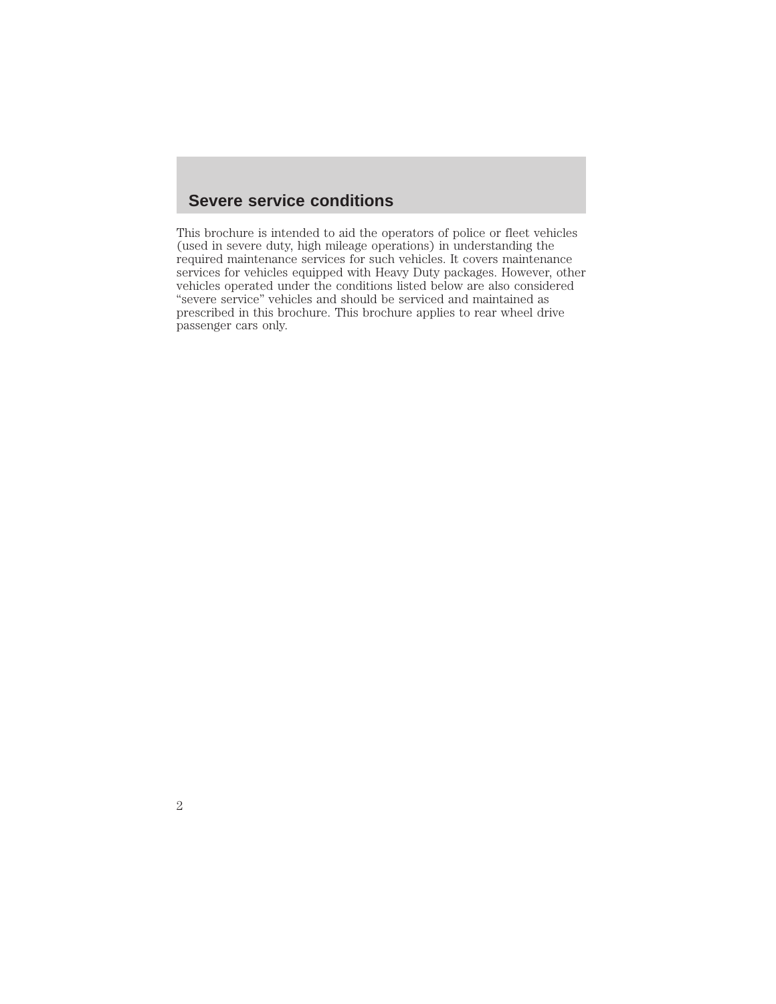### **Severe service conditions**

This brochure is intended to aid the operators of police or fleet vehicles (used in severe duty, high mileage operations) in understanding the required maintenance services for such vehicles. It covers maintenance services for vehicles equipped with Heavy Duty packages. However, other vehicles operated under the conditions listed below are also considered "severe service" vehicles and should be serviced and maintained as prescribed in this brochure. This brochure applies to rear wheel drive passenger cars only.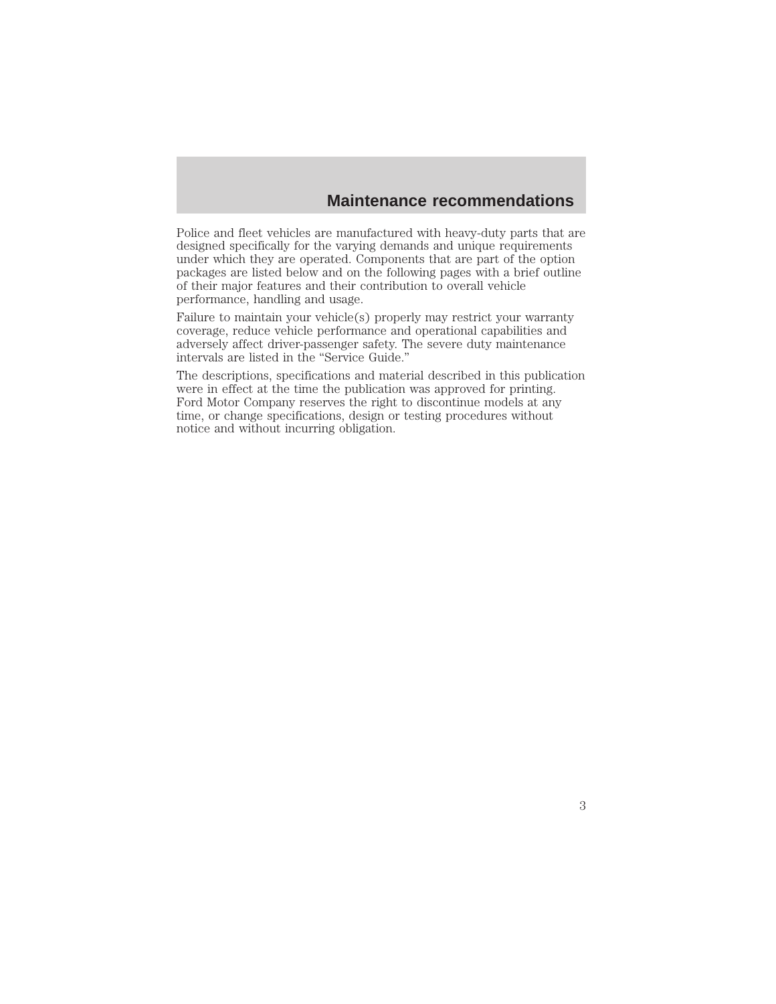### **Maintenance recommendations**

Police and fleet vehicles are manufactured with heavy-duty parts that are designed specifically for the varying demands and unique requirements under which they are operated. Components that are part of the option packages are listed below and on the following pages with a brief outline of their major features and their contribution to overall vehicle performance, handling and usage.

Failure to maintain your vehicle(s) properly may restrict your warranty coverage, reduce vehicle performance and operational capabilities and adversely affect driver-passenger safety. The severe duty maintenance intervals are listed in the "Service Guide."

The descriptions, specifications and material described in this publication were in effect at the time the publication was approved for printing. Ford Motor Company reserves the right to discontinue models at any time, or change specifications, design or testing procedures without notice and without incurring obligation.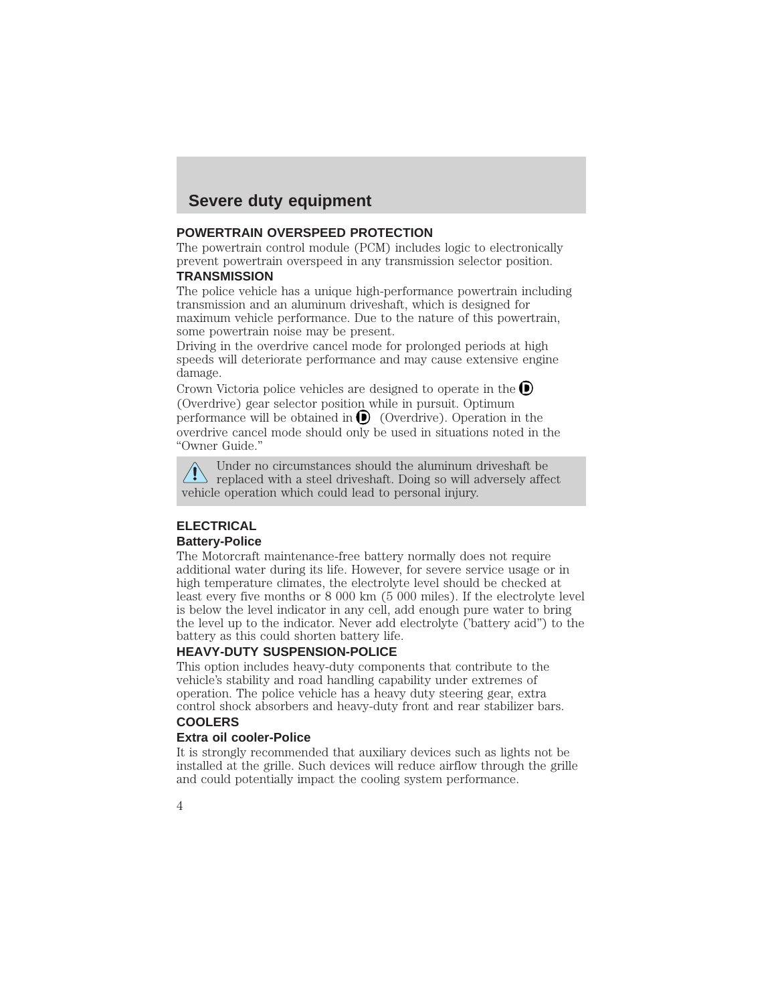### **POWERTRAIN OVERSPEED PROTECTION**

The powertrain control module (PCM) includes logic to electronically prevent powertrain overspeed in any transmission selector position.

### **TRANSMISSION**

The police vehicle has a unique high-performance powertrain including transmission and an aluminum driveshaft, which is designed for maximum vehicle performance. Due to the nature of this powertrain, some powertrain noise may be present.

Driving in the overdrive cancel mode for prolonged periods at high speeds will deteriorate performance and may cause extensive engine damage.

Crown Victoria police vehicles are designed to operate in the  $\bullet$ (Overdrive) gear selector position while in pursuit. Optimum performance will be obtained in  $\bigcirc$  (Overdrive). Operation in the overdrive cancel mode should only be used in situations noted in the "Owner Guide."

Under no circumstances should the aluminum driveshaft be  $\Diamond$  replaced with a steel driveshaft. Doing so will adversely affect vehicle operation which could lead to personal injury.

### **ELECTRICAL Battery-Police**

The Motorcraft maintenance-free battery normally does not require additional water during its life. However, for severe service usage or in high temperature climates, the electrolyte level should be checked at least every five months or 8 000 km (5 000 miles). If the electrolyte level is below the level indicator in any cell, add enough pure water to bring the level up to the indicator. Never add electrolyte ('battery acid") to the battery as this could shorten battery life.

### **HEAVY-DUTY SUSPENSION-POLICE**

This option includes heavy-duty components that contribute to the vehicle's stability and road handling capability under extremes of operation. The police vehicle has a heavy duty steering gear, extra control shock absorbers and heavy-duty front and rear stabilizer bars. **COOLERS**

### **Extra oil cooler-Police**

It is strongly recommended that auxiliary devices such as lights not be installed at the grille. Such devices will reduce airflow through the grille and could potentially impact the cooling system performance.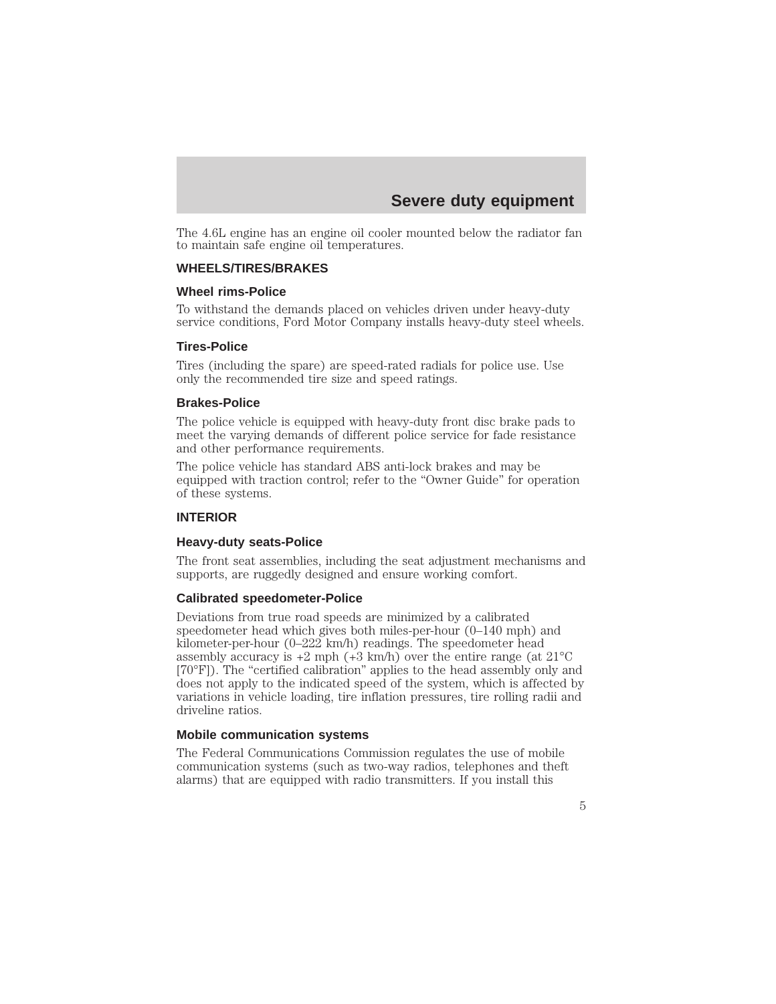The 4.6L engine has an engine oil cooler mounted below the radiator fan to maintain safe engine oil temperatures.

### **WHEELS/TIRES/BRAKES**

### **Wheel rims-Police**

To withstand the demands placed on vehicles driven under heavy-duty service conditions, Ford Motor Company installs heavy-duty steel wheels.

### **Tires-Police**

Tires (including the spare) are speed-rated radials for police use. Use only the recommended tire size and speed ratings.

#### **Brakes-Police**

The police vehicle is equipped with heavy-duty front disc brake pads to meet the varying demands of different police service for fade resistance and other performance requirements.

The police vehicle has standard ABS anti-lock brakes and may be equipped with traction control; refer to the "Owner Guide" for operation of these systems.

### **INTERIOR**

### **Heavy-duty seats-Police**

The front seat assemblies, including the seat adjustment mechanisms and supports, are ruggedly designed and ensure working comfort.

#### **Calibrated speedometer-Police**

Deviations from true road speeds are minimized by a calibrated speedometer head which gives both miles-per-hour (0–140 mph) and kilometer-per-hour (0–222 km/h) readings. The speedometer head assembly accuracy is  $+2$  mph  $(+3 \text{ km/h})$  over the entire range (at  $21^{\circ}$ C [70°F]). The "certified calibration" applies to the head assembly only and does not apply to the indicated speed of the system, which is affected by variations in vehicle loading, tire inflation pressures, tire rolling radii and driveline ratios.

#### **Mobile communication systems**

The Federal Communications Commission regulates the use of mobile communication systems (such as two-way radios, telephones and theft alarms) that are equipped with radio transmitters. If you install this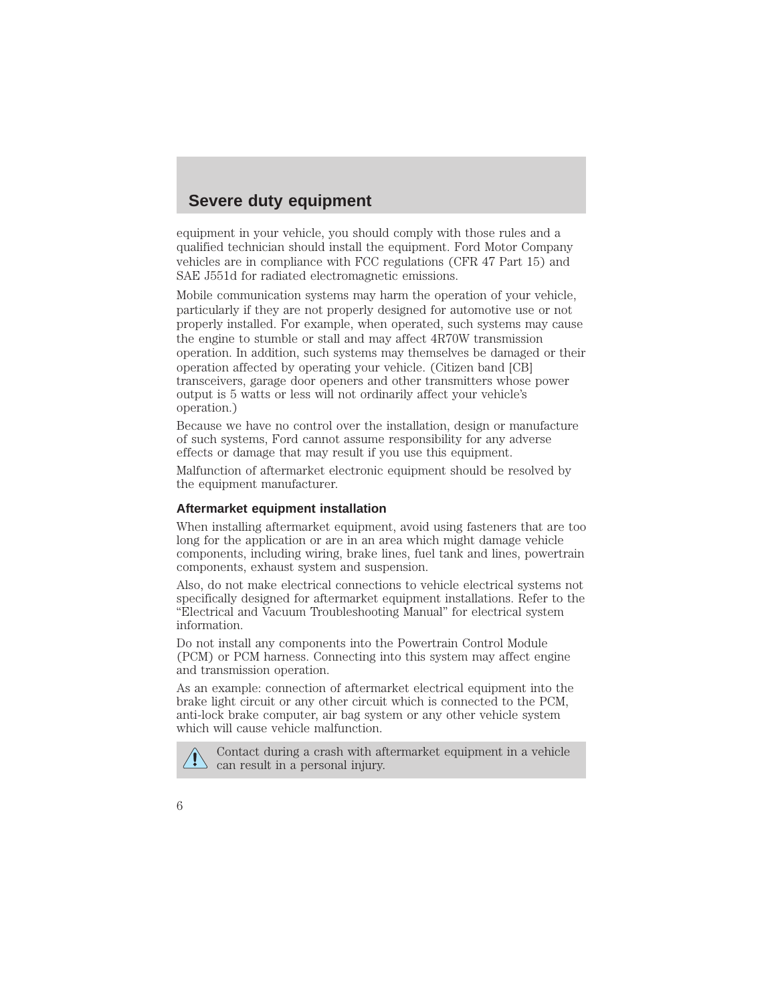equipment in your vehicle, you should comply with those rules and a qualified technician should install the equipment. Ford Motor Company vehicles are in compliance with FCC regulations (CFR 47 Part 15) and SAE J551d for radiated electromagnetic emissions.

Mobile communication systems may harm the operation of your vehicle, particularly if they are not properly designed for automotive use or not properly installed. For example, when operated, such systems may cause the engine to stumble or stall and may affect 4R70W transmission operation. In addition, such systems may themselves be damaged or their operation affected by operating your vehicle. (Citizen band [CB] transceivers, garage door openers and other transmitters whose power output is 5 watts or less will not ordinarily affect your vehicle's operation.)

Because we have no control over the installation, design or manufacture of such systems, Ford cannot assume responsibility for any adverse effects or damage that may result if you use this equipment.

Malfunction of aftermarket electronic equipment should be resolved by the equipment manufacturer.

### **Aftermarket equipment installation**

When installing aftermarket equipment, avoid using fasteners that are too long for the application or are in an area which might damage vehicle components, including wiring, brake lines, fuel tank and lines, powertrain components, exhaust system and suspension.

Also, do not make electrical connections to vehicle electrical systems not specifically designed for aftermarket equipment installations. Refer to the "Electrical and Vacuum Troubleshooting Manual" for electrical system information.

Do not install any components into the Powertrain Control Module (PCM) or PCM harness. Connecting into this system may affect engine and transmission operation.

As an example: connection of aftermarket electrical equipment into the brake light circuit or any other circuit which is connected to the PCM, anti-lock brake computer, air bag system or any other vehicle system which will cause vehicle malfunction.



Contact during a crash with aftermarket equipment in a vehicle can result in a personal injury.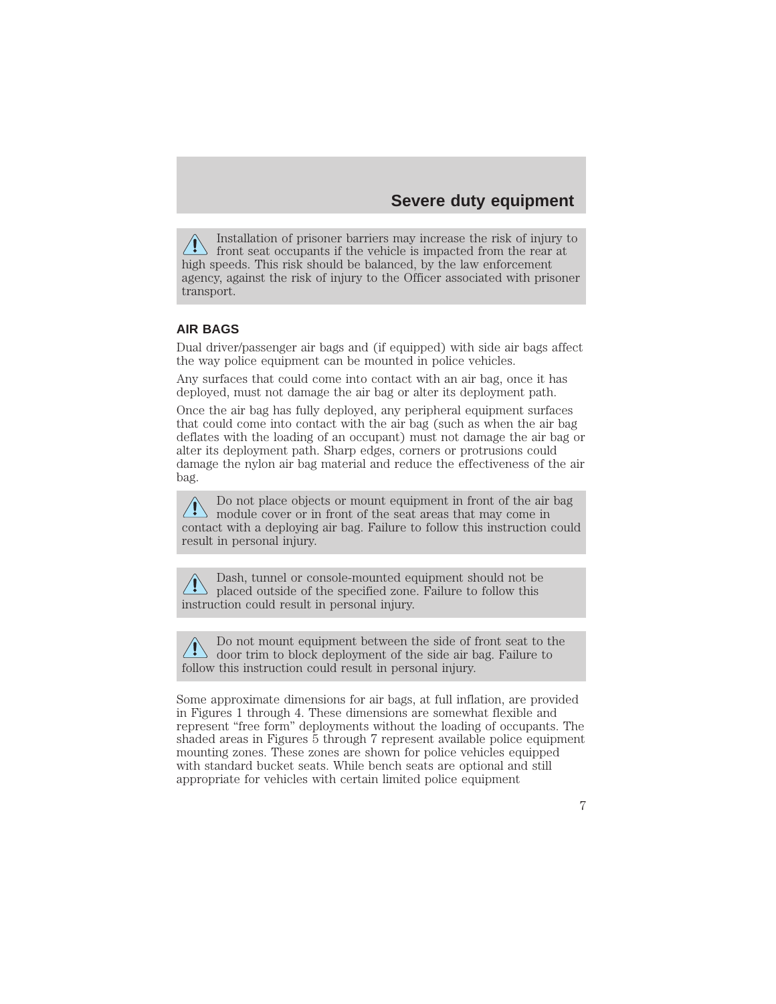Installation of prisoner barriers may increase the risk of injury to  $\perp$  front seat occupants if the vehicle is impacted from the rear at high speeds. This risk should be balanced, by the law enforcement agency, against the risk of injury to the Officer associated with prisoner transport.

### **AIR BAGS**

Dual driver/passenger air bags and (if equipped) with side air bags affect the way police equipment can be mounted in police vehicles.

Any surfaces that could come into contact with an air bag, once it has deployed, must not damage the air bag or alter its deployment path.

Once the air bag has fully deployed, any peripheral equipment surfaces that could come into contact with the air bag (such as when the air bag deflates with the loading of an occupant) must not damage the air bag or alter its deployment path. Sharp edges, corners or protrusions could damage the nylon air bag material and reduce the effectiveness of the air bag.

Do not place objects or mount equipment in front of the air bag module cover or in front of the seat areas that may come in contact with a deploying air bag. Failure to follow this instruction could result in personal injury.

Dash, tunnel or console-mounted equipment should not be If placed outside of the specified zone. Failure to follow this instruction could result in personal injury.

Do not mount equipment between the side of front seat to the door trim to block deployment of the side air bag. Failure to follow this instruction could result in personal injury.

Some approximate dimensions for air bags, at full inflation, are provided in Figures 1 through 4. These dimensions are somewhat flexible and represent "free form" deployments without the loading of occupants. The shaded areas in Figures 5 through 7 represent available police equipment mounting zones. These zones are shown for police vehicles equipped with standard bucket seats. While bench seats are optional and still appropriate for vehicles with certain limited police equipment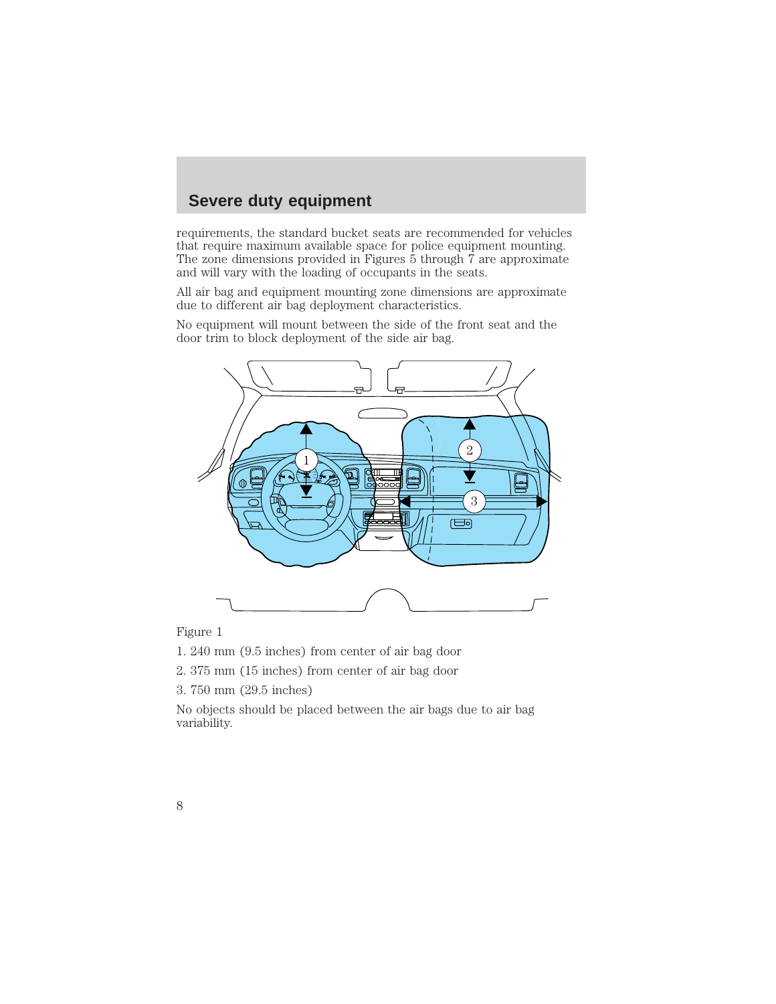requirements, the standard bucket seats are recommended for vehicles that require maximum available space for police equipment mounting. The zone dimensions provided in Figures  $\bar{5}$  through  $\bar{7}$  are approximate and will vary with the loading of occupants in the seats.

All air bag and equipment mounting zone dimensions are approximate due to different air bag deployment characteristics.

No equipment will mount between the side of the front seat and the door trim to block deployment of the side air bag.



Figure 1

1. 240 mm (9.5 inches) from center of air bag door

2. 375 mm (15 inches) from center of air bag door

3. 750 mm (29.5 inches)

No objects should be placed between the air bags due to air bag variability.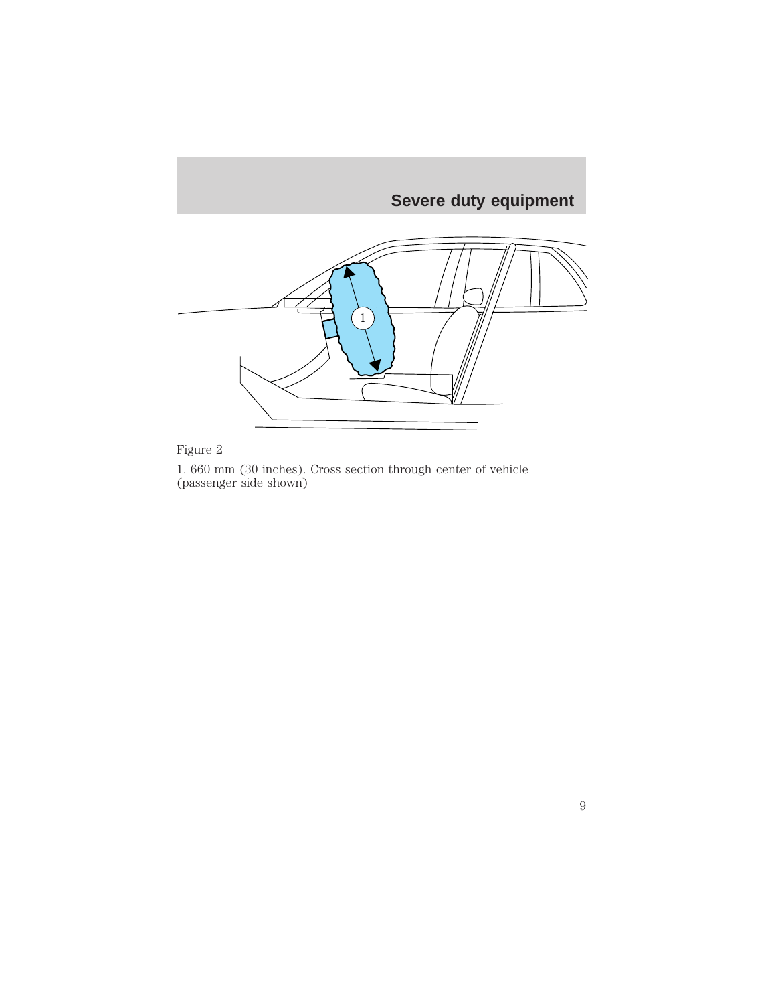

### Figure 2

1. 660 mm (30 inches). Cross section through center of vehicle (passenger side shown)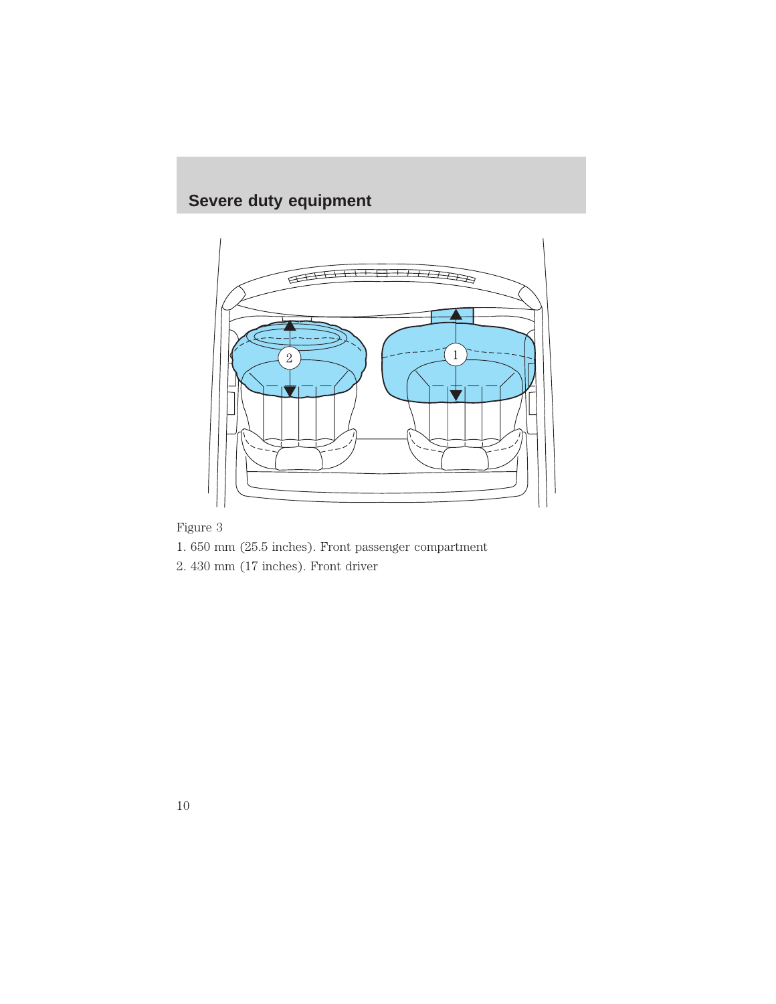

Figure 3

- 1. 650 mm (25.5 inches). Front passenger compartment
- 2. 430 mm (17 inches). Front driver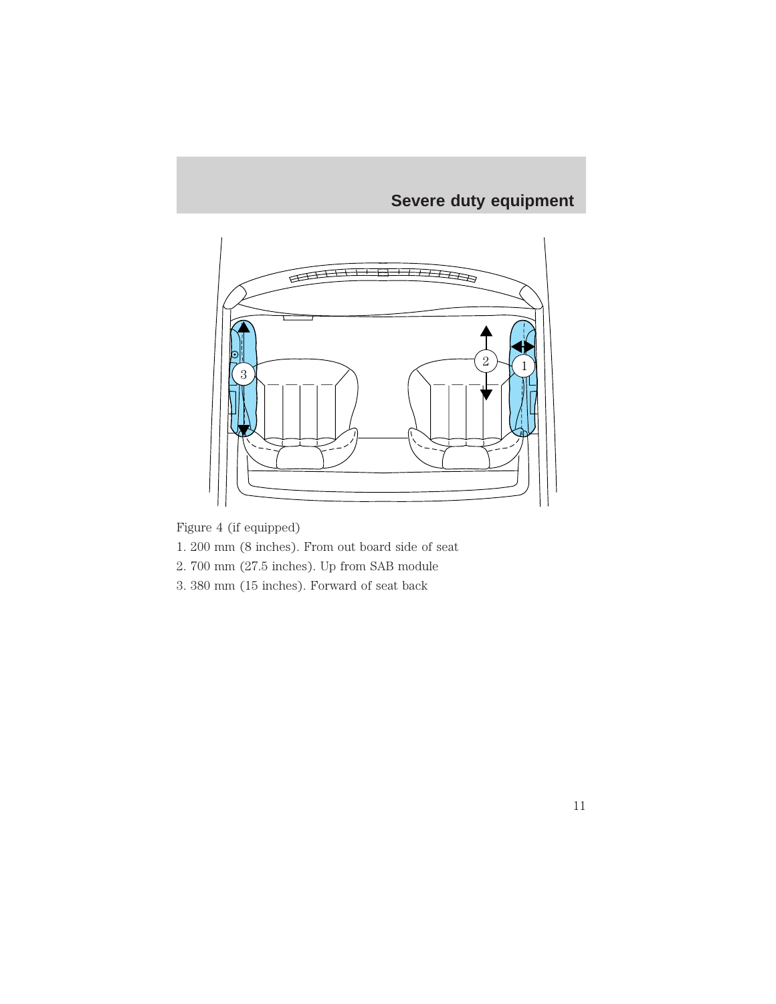

Figure 4 (if equipped)

- 1. 200 mm (8 inches). From out board side of seat
- 2. 700 mm (27.5 inches). Up from SAB module
- 3. 380 mm (15 inches). Forward of seat back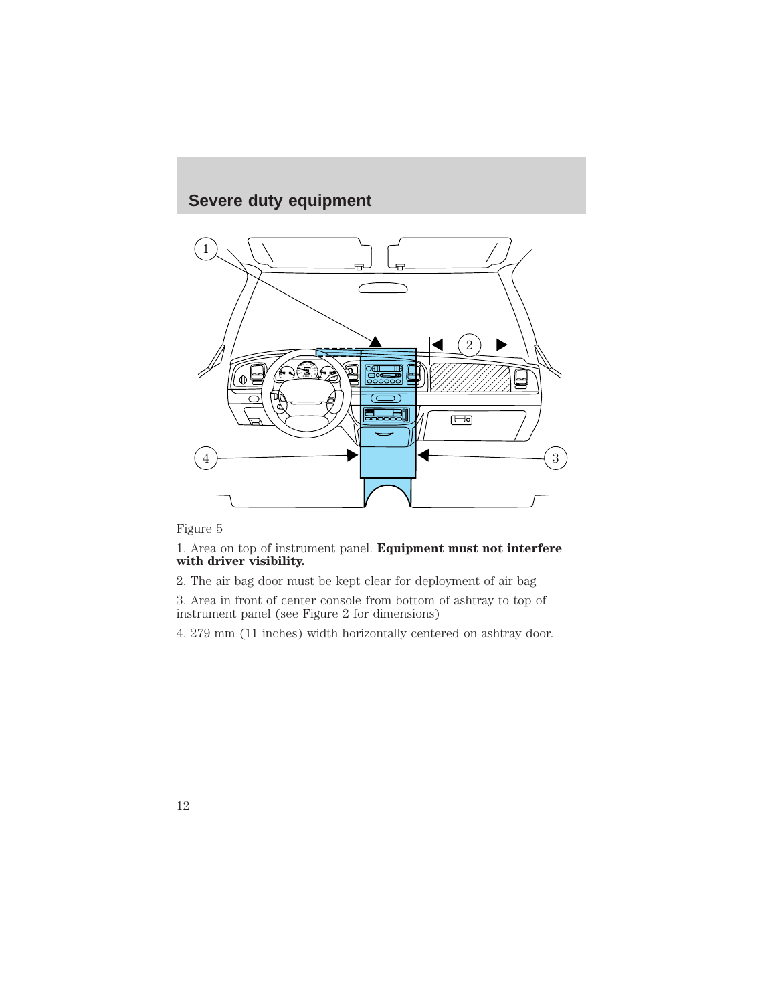

Figure 5

1. Area on top of instrument panel. **Equipment must not interfere with driver visibility.**

2. The air bag door must be kept clear for deployment of air bag

3. Area in front of center console from bottom of ashtray to top of instrument panel (see Figure 2 for dimensions)

4. 279 mm (11 inches) width horizontally centered on ashtray door.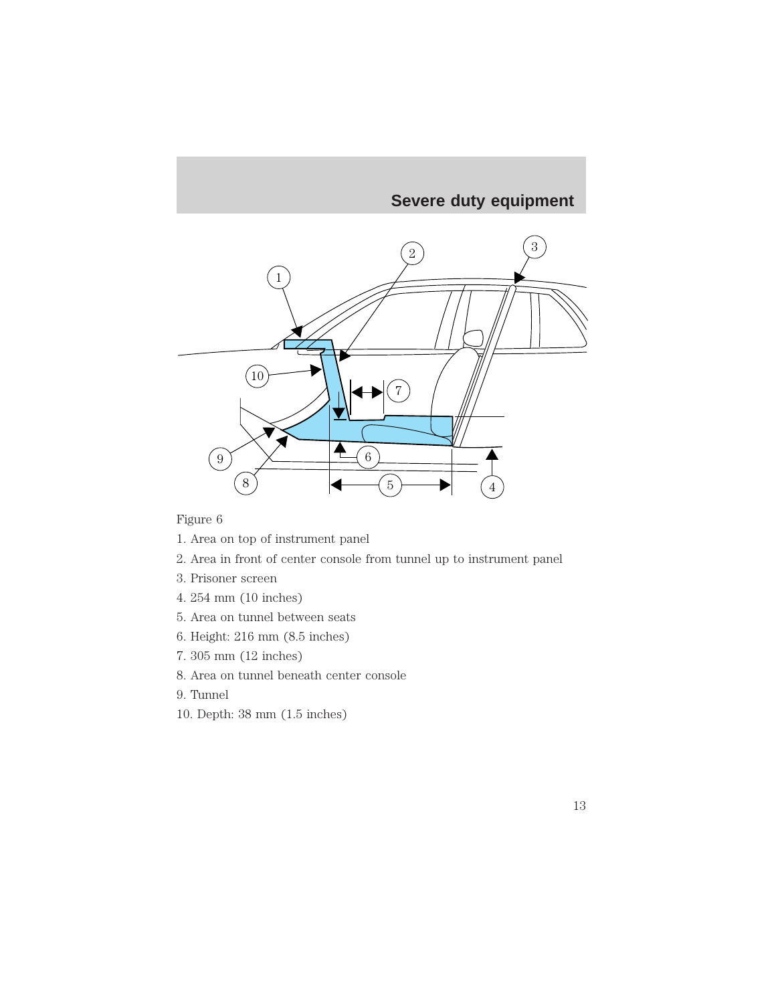

Figure 6

- 1. Area on top of instrument panel
- 2. Area in front of center console from tunnel up to instrument panel
- 3. Prisoner screen
- 4. 254 mm (10 inches)
- 5. Area on tunnel between seats
- 6. Height: 216 mm (8.5 inches)
- 7. 305 mm (12 inches)
- 8. Area on tunnel beneath center console
- 9. Tunnel
- 10. Depth: 38 mm (1.5 inches)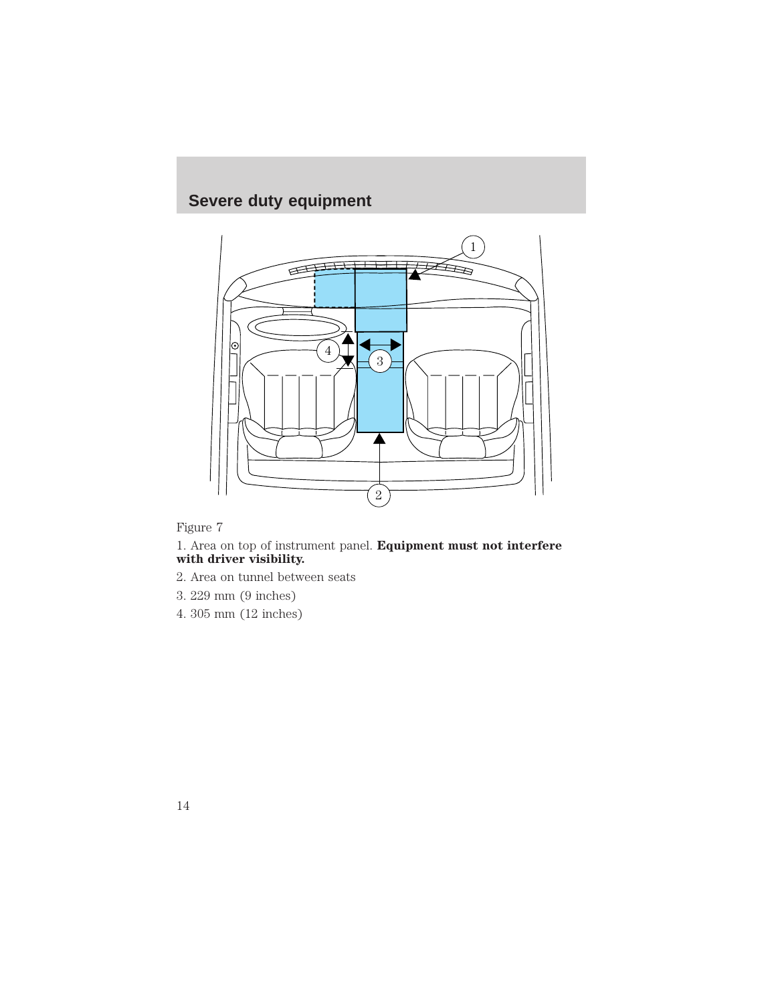

Figure 7

1. Area on top of instrument panel. **Equipment must not interfere with driver visibility.**

- 2. Area on tunnel between seats
- 3. 229 mm (9 inches)
- 4. 305 mm (12 inches)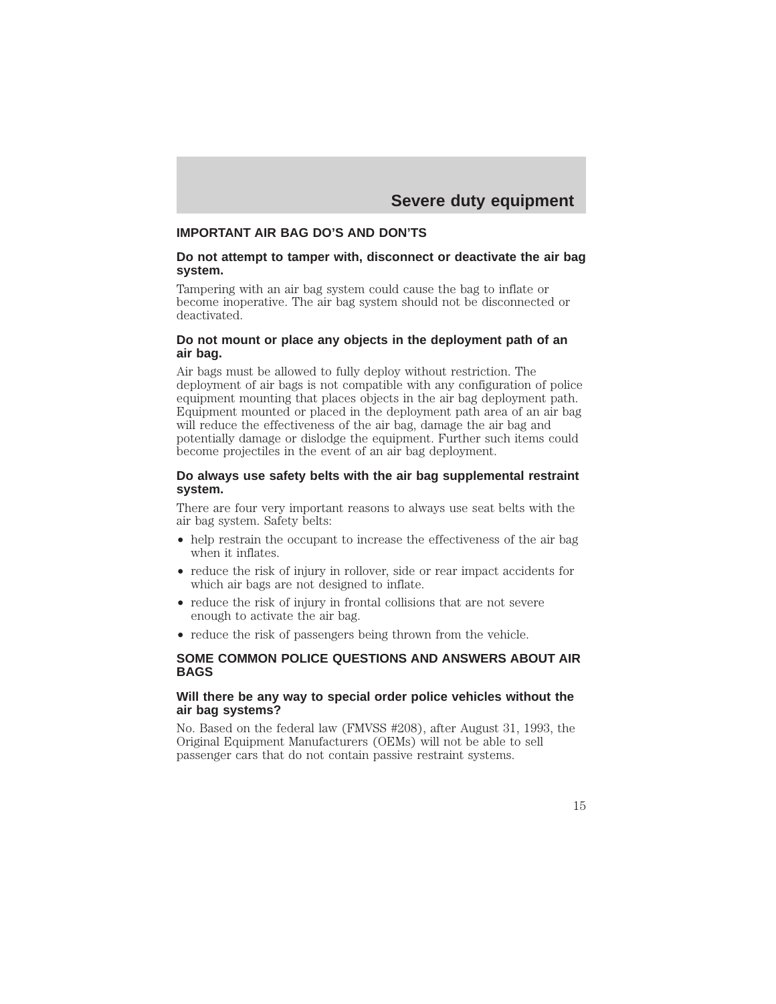### **IMPORTANT AIR BAG DO'S AND DON'TS**

#### **Do not attempt to tamper with, disconnect or deactivate the air bag system.**

Tampering with an air bag system could cause the bag to inflate or become inoperative. The air bag system should not be disconnected or deactivated.

#### **Do not mount or place any objects in the deployment path of an air bag.**

Air bags must be allowed to fully deploy without restriction. The deployment of air bags is not compatible with any configuration of police equipment mounting that places objects in the air bag deployment path. Equipment mounted or placed in the deployment path area of an air bag will reduce the effectiveness of the air bag, damage the air bag and potentially damage or dislodge the equipment. Further such items could become projectiles in the event of an air bag deployment.

#### **Do always use safety belts with the air bag supplemental restraint system.**

There are four very important reasons to always use seat belts with the air bag system. Safety belts:

- help restrain the occupant to increase the effectiveness of the air bag when it inflates.
- reduce the risk of injury in rollover, side or rear impact accidents for which air bags are not designed to inflate.
- reduce the risk of injury in frontal collisions that are not severe enough to activate the air bag.
- reduce the risk of passengers being thrown from the vehicle.

#### **SOME COMMON POLICE QUESTIONS AND ANSWERS ABOUT AIR BAGS**

#### **Will there be any way to special order police vehicles without the air bag systems?**

No. Based on the federal law (FMVSS #208), after August 31, 1993, the Original Equipment Manufacturers (OEMs) will not be able to sell passenger cars that do not contain passive restraint systems.